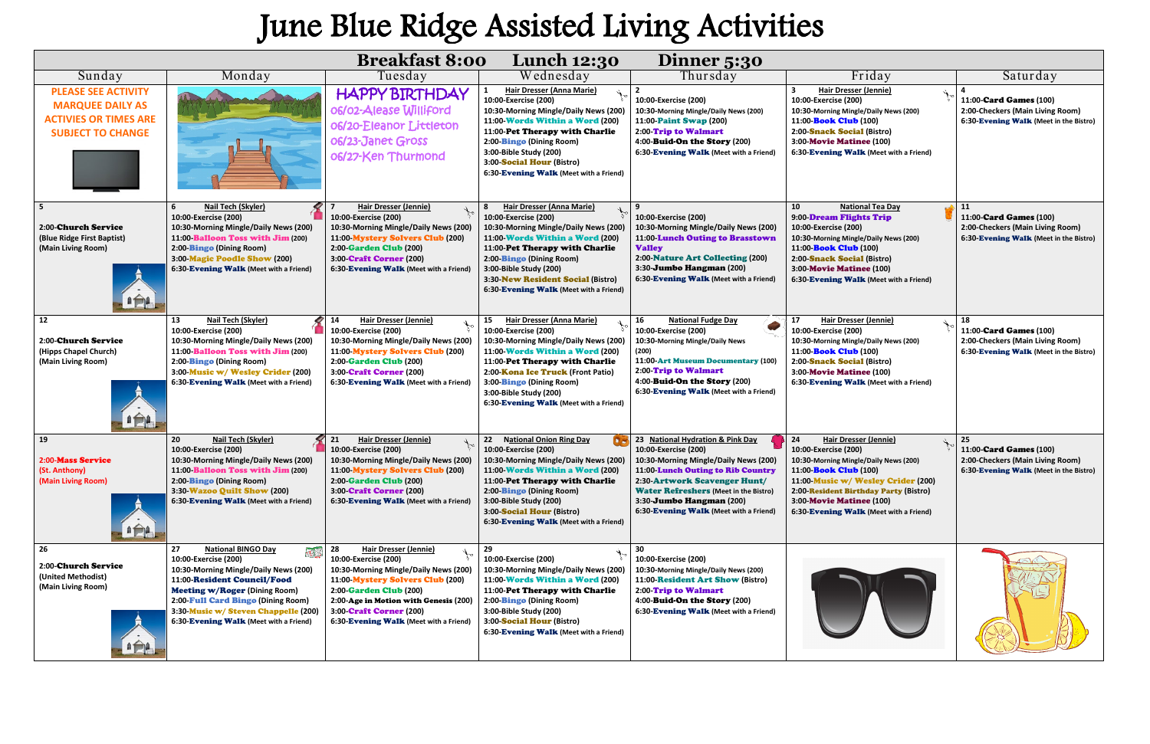## June Blue Ridge Assisted Living Activities

| <b>Breakfast 8:00</b><br><b>Lunch 12:30</b><br>Dinner 5:30                                                        |                                                                                                                                                                                                                                                                                                                 |                                                                                                                                                                                                                                                                                        |                                                                                                                                                                                                                                                                                                            |                                                                                                                                                                                                                                                                                                      |                                                                                                                                                                                                                                                                                                  |                                                                                                            |  |  |  |  |
|-------------------------------------------------------------------------------------------------------------------|-----------------------------------------------------------------------------------------------------------------------------------------------------------------------------------------------------------------------------------------------------------------------------------------------------------------|----------------------------------------------------------------------------------------------------------------------------------------------------------------------------------------------------------------------------------------------------------------------------------------|------------------------------------------------------------------------------------------------------------------------------------------------------------------------------------------------------------------------------------------------------------------------------------------------------------|------------------------------------------------------------------------------------------------------------------------------------------------------------------------------------------------------------------------------------------------------------------------------------------------------|--------------------------------------------------------------------------------------------------------------------------------------------------------------------------------------------------------------------------------------------------------------------------------------------------|------------------------------------------------------------------------------------------------------------|--|--|--|--|
| Sunday                                                                                                            | Monday                                                                                                                                                                                                                                                                                                          | Tuesday                                                                                                                                                                                                                                                                                | Wednesday                                                                                                                                                                                                                                                                                                  | Thursday                                                                                                                                                                                                                                                                                             | Friday                                                                                                                                                                                                                                                                                           | Saturday                                                                                                   |  |  |  |  |
| <b>PLEASE SEE ACTIVITY</b><br><b>MARQUEE DAILY AS</b><br><b>ACTIVIES OR TIMES ARE</b><br><b>SUBJECT TO CHANGE</b> |                                                                                                                                                                                                                                                                                                                 | <b>HAPPY BIRTHDAY</b><br>06/02-Alease Williford<br>06/20-Eleanor Littleton<br>06/23-Janet Gross<br>06/27-Ken Thurmond                                                                                                                                                                  | Hair Dresser (Anna Marie)<br>10:00-Exercise (200)<br>10:30-Morning Mingle/Daily News (200)<br>11:00-Words Within a Word (200)<br>11:00-Pet Therapy with Charlie<br>2:00-Bingo (Dining Room)<br>3:00-Bible Study (200)<br>3:00-Social Hour (Bistro)<br>6:30-Evening Walk (Meet with a Friend)               | 10:00-Exercise (200)<br>10:30-Morning Mingle/Daily News (200)<br>11:00-Paint Swap (200)<br>2:00-Trip to Walmart<br>4:00-Buid-On the Story (200)<br>6:30-Evening Walk (Meet with a Friend)                                                                                                            | Hair Dresser (Jennie)<br>10:00-Exercise (200)<br>10:30-Morning Mingle/Daily News (200)<br>11:00- <b>Book Club</b> (100)<br>2:00-Snack Social (Bistro)<br>3:00-Movie Matinee (100)<br>6:30-Evening Walk (Meet with a Friend)                                                                      | 11:00-Card Games (100)<br>2:00-Checkers (Main Living Room)<br>6:30-Evening Walk (Meet in the Bistro)       |  |  |  |  |
| 5<br>2:00-Church Service<br>(Blue Ridge First Baptist)<br>(Main Living Room)<br>$n \rightarrow a$                 | <b>Nail Tech (Skyler)</b><br>10:00-Exercise (200)<br>10:30-Morning Mingle/Daily News (200)<br>11:00 Balloon Toss with Jim (200)<br>2:00-Bingo (Dining Room)<br>3:00-Magic Poodle Show (200)<br>6:30-Evening Walk (Meet with a Friend)                                                                           | <b>Hair Dresser (Jennie)</b><br>10:00-Exercise (200)<br>10:30-Morning Mingle/Daily News (200)<br>11:00 Mystery Solvers Club (200)<br>2:00-Garden Club (200)<br>3:00 Craft Corner (200)<br>6:30-Evening Walk (Meet with a Friend)                                                       | Hair Dresser (Anna Marie)<br>10:00-Exercise (200)<br>10:30-Morning Mingle/Daily News (200)<br>11:00 Words Within a Word (200)<br>11:00-Pet Therapy with Charlie<br>2:00-Bingo (Dining Room)<br>3:00-Bible Study (200)<br>3:30-New Resident Social (Bistro)<br>6:30-Evening Walk (Meet with a Friend)       | 10:00-Exercise (200)<br>10:30-Morning Mingle/Daily News (200)<br>11:00-Lunch Outing to Brasstown<br><b>Valley</b><br>2:00-Nature Art Collecting (200)<br>3:30- <b>Jumbo Hangman</b> (200)<br>6:30-Evening Walk (Meet with a Friend)                                                                  | 10<br><b>National Tea Day</b><br>9:00 Dream Flights Trip<br>10:00-Exercise (200)<br>10:30-Morning Mingle/Daily News (200)<br>11:00- <b>Book Club</b> (100)<br>2:00-Snack Social (Bistro)<br><b>3:00-Movie Matinee (100)</b><br>6:30-Evening Walk (Meet with a Friend)                            | 11<br>11:00-Card Games (100)<br>2:00-Checkers (Main Living Room)<br>6:30-Evening Walk (Meet in the Bistro) |  |  |  |  |
| 12<br><b>2:00-Church Service</b><br>(Hipps Chapel Church)<br>(Main Living Room)<br>$n \nleftrightarrow n$         | Nail Tech (Skyler)<br>13<br>10:00-Exercise (200)<br>10:30-Morning Mingle/Daily News (200)<br>11:00-Balloon Toss with Jim (200)<br>2:00-Bingo (Dining Room)<br>3:00-Music w/ Wesley Crider (200)<br>6:30-Evening Walk (Meet with a Friend)                                                                       | <b>Hair Dresser (Jennie)</b><br>14<br>10:00-Exercise (200)<br>10:30-Morning Mingle/Daily News (200)<br>11:00 Mystery Solvers Club (200)<br><b>2:00-Garden Club (200)</b><br>3:00 Craft Corner (200)<br>6:30-Evening Walk (Meet with a Friend)                                          | Hair Dresser (Anna Marie)<br>15<br>10:00-Exercise (200)<br>10:30-Morning Mingle/Daily News (200)<br>11:00 Words Within a Word (200)<br>11:00-Pet Therapy with Charlie<br>2:00-Kona Ice Truck (Front Patio)<br>3:00-Bingo (Dining Room)<br>3:00-Bible Study (200)<br>6:30-Evening Walk (Meet with a Friend) | 16<br><b>National Fudge Day</b><br>10:00-Exercise (200)<br>10:30-Morning Mingle/Daily News<br>(200)<br>11:00-Art Museum Documentary (100)<br>2:00 Trip to Walmart<br>4:00-Buid-On the Story (200)<br>6:30-Evening Walk (Meet with a Friend)                                                          | 17<br><b>Hair Dresser (Jennie)</b><br>10:00-Exercise (200)<br>10:30-Morning Mingle/Daily News (200)<br>11:00- <b>Book Club</b> (100)<br>2:00-Snack Social (Bistro)<br><b>3:00-Movie Matinee (100)</b><br>6:30-Evening Walk (Meet with a Friend)                                                  | 18<br>11:00-Card Games (100)<br>2:00-Checkers (Main Living Room)<br>6:30-Evening Walk (Meet in the Bistro) |  |  |  |  |
| 19<br>2:00-Mass Service<br>(St. Anthony)<br>(Main Living Room)<br>$n \bigoplus A$                                 | Nail Tech (Skyler)<br>20<br>10:00-Exercise (200)<br>10:30-Morning Mingle/Daily News (200)<br>11:00 Balloon Toss with Jim (200)<br>2:00-Bingo (Dining Room)<br>3:30-Wazoo Quilt Show (200)<br>6:30-Evening Walk (Meet with a Friend)                                                                             | 21<br>Hair Dresser (Jennie)<br>10:00-Exercise (200)<br>10:30-Morning Mingle/Daily News (200)<br>11:00 Mystery Solvers Club (200)<br>2:00-Garden Club (200)<br>3:00 Craft Corner (200)<br>6:30-Evening Walk (Meet with a Friend)                                                        | 22<br><b>National Onion Ring Day</b><br>10:00-Exercise (200)<br>10:30-Morning Mingle/Daily News (200)<br>11:00-Words Within a Word (200)<br>11:00-Pet Therapy with Charlie<br>2:00-Bingo (Dining Room)<br>3:00-Bible Study (200)<br>3:00-Social Hour (Bistro)<br>6:30-Evening Walk (Meet with a Friend)    | 23 National Hydration & Pink Day<br>10:00-Exercise (200)<br>10:30-Morning Mingle/Daily News (200)<br>11:00 Lunch Outing to Rib Country<br>2:30-Artwork Scavenger Hunt/<br><b>Water Refreshers (Meet in the Bistro)</b><br>3:30- <b>Jumbo Hangman</b> (200)<br>6:30-Evening Walk (Meet with a Friend) | 24<br><b>Hair Dresser (Jennie)</b><br>10:00-Exercise (200)<br>10:30-Morning Mingle/Daily News (200)<br>11:00- <b>Book Club</b> (100)<br>11:00 Music w/ Wesley Crider (200)<br>2:00-Resident Birthday Party (Bistro)<br><b>3:00-Movie Matinee (100)</b><br>6:30-Evening Walk (Meet with a Friend) | 25<br>11:00-Card Games (100)<br>2:00-Checkers (Main Living Room)<br>6:30-Evening Walk (Meet in the Bistro) |  |  |  |  |
| 26<br>2:00-Church Service<br>(United Methodist)<br>(Main Living Room)<br>$n \bigoplus n$                          | <b>National BINGO Day</b><br>27<br>$\mathbf{H}$<br>10:00-Exercise (200)<br>10:30-Morning Mingle/Daily News (200)<br>11:00-Resident Council/Food<br><b>Meeting w/Roger (Dining Room)</b><br>2:00-Full Card Bingo (Dining Room)<br>3:30-Music w/ Steven Chappelle (200)<br>6:30-Evening Walk (Meet with a Friend) | 28<br><b>Hair Dresser (Jennie)</b><br>10:00-Exercise (200)<br>10:30-Morning Mingle/Daily News (200)<br>11:00 Mystery Solvers Club (200)<br>2:00-Garden Club (200)<br>2:00-Age in Motion with Genesis (200)<br><b>3:00 Craft Corner (200)</b><br>6:30-Evening Walk (Meet with a Friend) | 29<br>10:00-Exercise (200)<br>10:30-Morning Mingle/Daily News (200)<br>11:00-Words Within a Word (200)<br>11:00-Pet Therapy with Charlie<br>2:00-Bingo (Dining Room)<br>3:00-Bible Study (200)<br>3:00-Social Hour (Bistro)<br>6:30-Evening Walk (Meet with a Friend)                                      | 30<br>10:00-Exercise (200)<br>10:30-Morning Mingle/Daily News (200)<br>11:00-Resident Art Show (Bistro)<br>2:00 Trip to Walmart<br>4:00-Buid-On the Story (200)<br>6:30-Evening Walk (Meet with a Friend)                                                                                            |                                                                                                                                                                                                                                                                                                  |                                                                                                            |  |  |  |  |